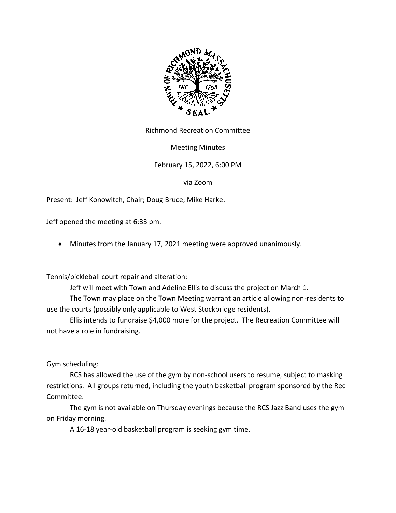

Richmond Recreation Committee

Meeting Minutes

February 15, 2022, 6:00 PM

via Zoom

Present: Jeff Konowitch, Chair; Doug Bruce; Mike Harke.

Jeff opened the meeting at 6:33 pm.

• Minutes from the January 17, 2021 meeting were approved unanimously.

Tennis/pickleball court repair and alteration:

Jeff will meet with Town and Adeline Ellis to discuss the project on March 1.

The Town may place on the Town Meeting warrant an article allowing non-residents to use the courts (possibly only applicable to West Stockbridge residents).

Ellis intends to fundraise \$4,000 more for the project. The Recreation Committee will not have a role in fundraising.

Gym scheduling:

RCS has allowed the use of the gym by non-school users to resume, subject to masking restrictions. All groups returned, including the youth basketball program sponsored by the Rec Committee.

The gym is not available on Thursday evenings because the RCS Jazz Band uses the gym on Friday morning.

A 16-18 year-old basketball program is seeking gym time.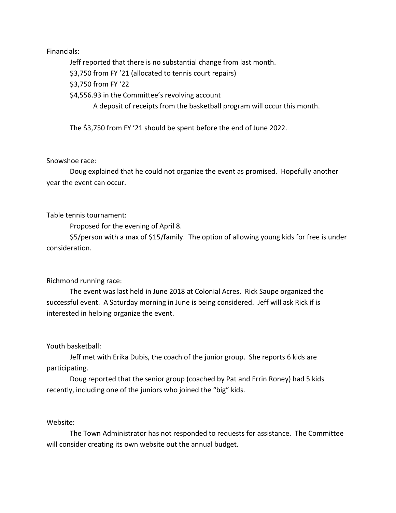## Financials:

Jeff reported that there is no substantial change from last month.

\$3,750 from FY '21 (allocated to tennis court repairs)

\$3,750 from FY '22

\$4,556.93 in the Committee's revolving account

A deposit of receipts from the basketball program will occur this month.

The \$3,750 from FY '21 should be spent before the end of June 2022.

## Snowshoe race:

Doug explained that he could not organize the event as promised. Hopefully another year the event can occur.

Table tennis tournament:

Proposed for the evening of April 8.

\$5/person with a max of \$15/family. The option of allowing young kids for free is under consideration.

# Richmond running race:

The event was last held in June 2018 at Colonial Acres. Rick Saupe organized the successful event. A Saturday morning in June is being considered. Jeff will ask Rick if is interested in helping organize the event.

# Youth basketball:

Jeff met with Erika Dubis, the coach of the junior group. She reports 6 kids are participating.

Doug reported that the senior group (coached by Pat and Errin Roney) had 5 kids recently, including one of the juniors who joined the "big" kids.

# Website:

The Town Administrator has not responded to requests for assistance. The Committee will consider creating its own website out the annual budget.